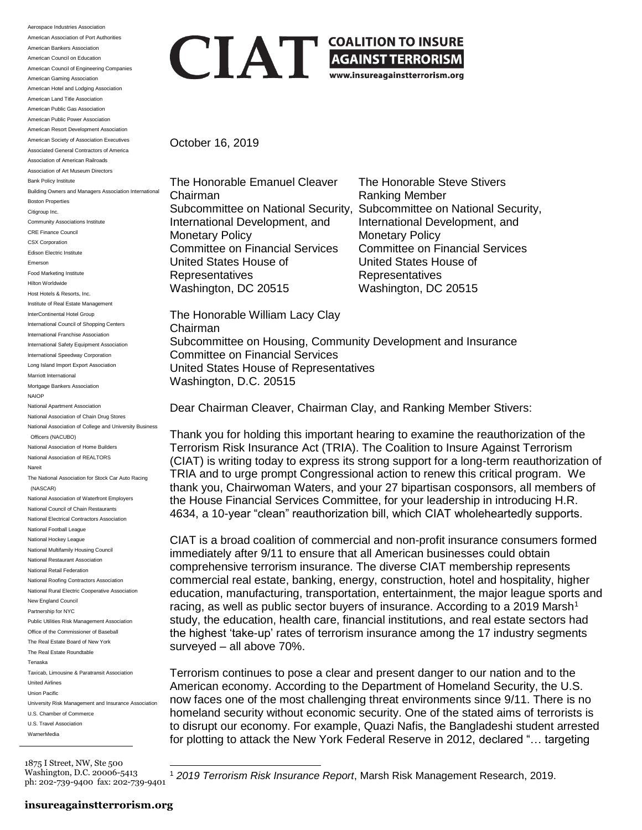Aerospace Industries Association American Association of Port Authorities American Bankers Association American Council on Education American Council of Engineering Companies American Gaming Association American Hotel and Lodging Association American Land Title Association American Public Gas Association American Public Power Association American Resort Development Association American Society of Association Executives Associated General Contractors of America Association of American Railroads Association of Art Museum Directors Bank Policy Institute Building Owners and Managers Association International Boston Properties Citigroup Inc. Community Associations Institute CRE Finance Council CSX Corporation Edison Electric Institute Emerson Food Marketing Institute Hilton Worldwide Host Hotels & Resorts, Inc. Institute of Real Estate Management InterContinental Hotel Group International Council of Shopping Centers International Franchise Association International Safety Equipment Association International Speedway Corporation Long Island Import Export Association Marriott International Mortgage Bankers Association NAIOP National Apartment Association National Association of Chain Drug Stores National Association of College and University Business Officers (NACUBO) National Association of Home Builders National Association of REALTORS Nareit The National Association for Stock Car Auto Racing (NASCAR) National Association of Waterfront Employers National Council of Chain Restaurants National Electrical Contractors Association National Football League National Hockey League National Multifamily Housing Council National Restaurant Association National Retail Federation National Roofing Contractors Association National Rural Electric Cooperative Association New England Council Partnership for NYC Public Utilities Risk Management Association Office of the Commissioner of Baseball The Real Estate Board of New York The Real Estate Roundtable Tenaska Taxicab, Limousine & Paratransit Association United Airlines Union Pacific University Risk Management and Insurance Association U.S. Chamber of Commerce U.S. Travel Association **WarnerMedia** 

**CHANGE AGAINST TERRORISM**<br>
WWW.insureagainstterrorism.org

October 16, 2019

The Honorable Emanuel Cleaver The Honorable Steve Stivers Chairman **Ranking Member** International Development, and International Development, and Monetary Policy<br>Committee on Financial Services Committee on Financial Services **Committee on Financial Services** United States House of United States House of Representatives Representatives Washington, DC 20515 Washington, DC 20515

Subcommittee on National Security, Subcommittee on National Security,

The Honorable William Lacy Clay Chairman Subcommittee on Housing, Community Development and Insurance Committee on Financial Services United States House of Representatives Washington, D.C. 20515

Dear Chairman Cleaver, Chairman Clay, and Ranking Member Stivers:

Thank you for holding this important hearing to examine the reauthorization of the Terrorism Risk Insurance Act (TRIA). The Coalition to Insure Against Terrorism (CIAT) is writing today to express its strong support for a long-term reauthorization of TRIA and to urge prompt Congressional action to renew this critical program. We thank you, Chairwoman Waters, and your 27 bipartisan cosponsors, all members of the House Financial Services Committee, for your leadership in introducing H.R. 4634, a 10-year "clean" reauthorization bill, which CIAT wholeheartedly supports.

CIAT is a broad coalition of commercial and non-profit insurance consumers formed immediately after 9/11 to ensure that all American businesses could obtain comprehensive terrorism insurance. The diverse CIAT membership represents commercial real estate, banking, energy, construction, hotel and hospitality, higher education, manufacturing, transportation, entertainment, the major league sports and racing, as well as public sector buyers of insurance. According to a 2019 Marsh<sup>1</sup> study, the education, health care, financial institutions, and real estate sectors had the highest 'take-up' rates of terrorism insurance among the 17 industry segments surveyed – all above 70%.

Terrorism continues to pose a clear and present danger to our nation and to the American economy. According to the Department of Homeland Security, the U.S. now faces one of the most challenging threat environments since 9/11. There is no homeland security without economic security. One of the stated aims of terrorists is to disrupt our economy. For example, Quazi Nafis, the Bangladeshi student arrested for plotting to attack the New York Federal Reserve in 2012, declared "… targeting

1875 I Street, NW, Ste 500 Washington, D.C. 20006-5413 ph: 202-739-9400 fax: 202-739-9401

 $\overline{a}$ 

<sup>1</sup> *2019 Terrorism Risk Insurance Report*, Marsh Risk Management Research, 2019.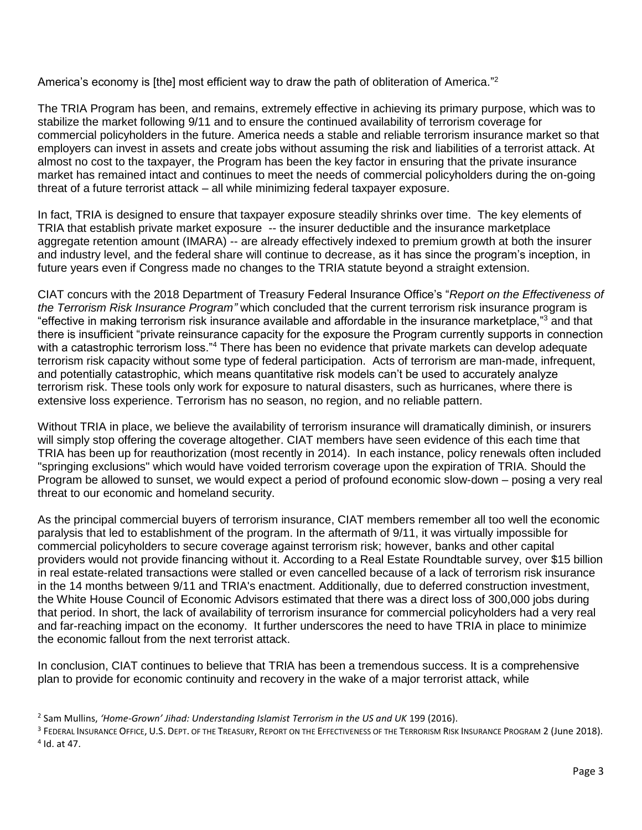America's economy is [the] most efficient way to draw the path of obliteration of America."<sup>2</sup>

The TRIA Program has been, and remains, extremely effective in achieving its primary purpose, which was to stabilize the market following 9/11 and to ensure the continued availability of terrorism coverage for commercial policyholders in the future. America needs a stable and reliable terrorism insurance market so that employers can invest in assets and create jobs without assuming the risk and liabilities of a terrorist attack. At almost no cost to the taxpayer, the Program has been the key factor in ensuring that the private insurance market has remained intact and continues to meet the needs of commercial policyholders during the on-going threat of a future terrorist attack – all while minimizing federal taxpayer exposure.

In fact, TRIA is designed to ensure that taxpayer exposure steadily shrinks over time. The key elements of TRIA that establish private market exposure -- the insurer deductible and the insurance marketplace aggregate retention amount (IMARA) -- are already effectively indexed to premium growth at both the insurer and industry level, and the federal share will continue to decrease, as it has since the program's inception, in future years even if Congress made no changes to the TRIA statute beyond a straight extension.

CIAT concurs with the 2018 Department of Treasury Federal Insurance Office's "*Report on the Effectiveness of the Terrorism Risk Insurance Program"* which concluded that the current terrorism risk insurance program is "effective in making terrorism risk insurance available and affordable in the insurance marketplace,"<sup>3</sup> and that there is insufficient "private reinsurance capacity for the exposure the Program currently supports in connection with a catastrophic terrorism loss."<sup>4</sup> There has been no evidence that private markets can develop adequate terrorism risk capacity without some type of federal participation. Acts of terrorism are man-made, infrequent, and potentially catastrophic, which means quantitative risk models can't be used to accurately analyze terrorism risk. These tools only work for exposure to natural disasters, such as hurricanes, where there is extensive loss experience. Terrorism has no season, no region, and no reliable pattern.

Without TRIA in place, we believe the availability of terrorism insurance will dramatically diminish, or insurers will simply stop offering the coverage altogether. CIAT members have seen evidence of this each time that TRIA has been up for reauthorization (most recently in 2014). In each instance, policy renewals often included "springing exclusions" which would have voided terrorism coverage upon the expiration of TRIA. Should the Program be allowed to sunset, we would expect a period of profound economic slow-down – posing a very real threat to our economic and homeland security.

As the principal commercial buyers of terrorism insurance, CIAT members remember all too well the economic paralysis that led to establishment of the program. In the aftermath of 9/11, it was virtually impossible for commercial policyholders to secure coverage against terrorism risk; however, banks and other capital providers would not provide financing without it. According to a Real Estate Roundtable survey, over \$15 billion in real estate-related transactions were stalled or even cancelled because of a lack of terrorism risk insurance in the 14 months between 9/11 and TRIA's enactment. Additionally, due to deferred construction investment, the White House Council of Economic Advisors estimated that there was a direct loss of 300,000 jobs during that period. In short, the lack of availability of terrorism insurance for commercial policyholders had a very real and far-reaching impact on the economy. It further underscores the need to have TRIA in place to minimize the economic fallout from the next terrorist attack.

In conclusion, CIAT continues to believe that TRIA has been a tremendous success. It is a comprehensive plan to provide for economic continuity and recovery in the wake of a major terrorist attack, while

<sup>2</sup> Sam Mullins, *'Home-Grown' Jihad: Understanding Islamist Terrorism in the US and UK* 199 (2016).

 $^{\rm 3}$  Federal Insurance Office, U.S. Dept. of the Treasury, Report on the Effectiveness of the Terrorism Risk Insurance Program 2 (June 2018). 4 Id. at 47.